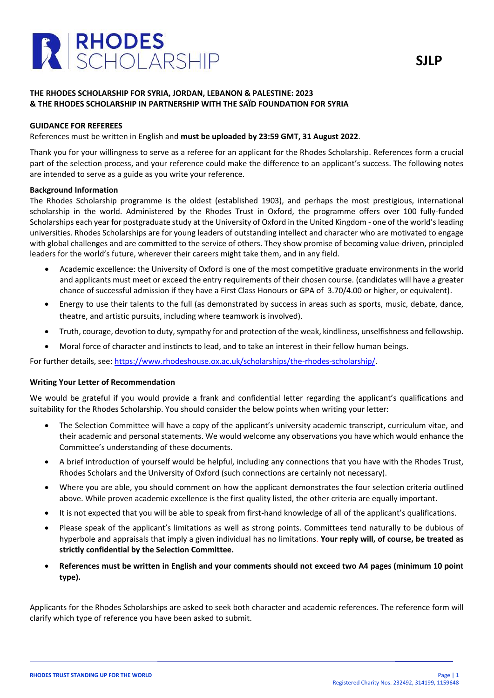

# **THE RHODES SCHOLARSHIP FOR SYRIA, JORDAN, LEBANON & PALESTINE: 2023 & THE RHODES SCHOLARSHIP IN PARTNERSHIP WITH THE SAÏD FOUNDATION FOR SYRIA**

## **GUIDANCE FOR REFEREES**

References must be written in English and **must be uploaded by 23:59 GMT, 31 August 2022**.

Thank you for your willingness to serve as a referee for an applicant for the Rhodes Scholarship. References form a crucial part of the selection process, and your reference could make the difference to an applicant's success. The following notes are intended to serve as a guide as you write your reference.

### **Background Information**

The Rhodes Scholarship programme is the oldest (established 1903), and perhaps the most prestigious, international scholarship in the world. Administered by the Rhodes Trust in Oxford, the programme offers over 100 fully-funded Scholarships each year for postgraduate study at the University of Oxford in the United Kingdom - one of the world's leading universities. Rhodes Scholarships are for young leaders of outstanding intellect and character who are motivated to engage with global challenges and are committed to the service of others. They show promise of becoming value-driven, principled leaders for the world's future, wherever their careers might take them, and in any field.

- Academic excellence: the University of Oxford is one of the most competitive graduate environments in the world and applicants must meet or exceed the entry requirements of their chosen course. (candidates will have a greater chance of successful admission if they have a First Class Honours or GPA of 3.70/4.00 or higher, or equivalent).
- Energy to use their talents to the full (as demonstrated by success in areas such as sports, music, debate, dance, theatre, and artistic pursuits, including where teamwork is involved).
- Truth, courage, devotion to duty, sympathy for and protection of the weak, kindliness, unselfishness and fellowship.
- Moral force of character and instincts to lead, and to take an interest in their fellow human beings.

For further details, see: [https://www.rhodeshouse.ox.ac.uk/scholarships/the-rhodes-scholarship/.](https://www.rhodeshouse.ox.ac.uk/scholarships/the-rhodes-scholarship/)

#### **Writing Your Letter of Recommendation**

We would be grateful if you would provide a frank and confidential letter regarding the applicant's qualifications and suitability for the Rhodes Scholarship. You should consider the below points when writing your letter:

- The Selection Committee will have a copy of the applicant's university academic transcript, curriculum vitae, and their academic and personal statements. We would welcome any observations you have which would enhance the Committee's understanding of these documents.
- A brief introduction of yourself would be helpful, including any connections that you have with the Rhodes Trust, Rhodes Scholars and the University of Oxford (such connections are certainly not necessary).
- Where you are able, you should comment on how the applicant demonstrates the four selection criteria outlined above. While proven academic excellence is the first quality listed, the other criteria are equally important.
- It is not expected that you will be able to speak from first-hand knowledge of all of the applicant's qualifications.
- Please speak of the applicant's limitations as well as strong points. Committees tend naturally to be dubious of hyperbole and appraisals that imply a given individual has no limitations. **Your reply will, of course, be treated as strictly confidential by the Selection Committee.**
- **References must be written in English and your comments should not exceed two A4 pages (minimum 10 point type).**

Applicants for the Rhodes Scholarships are asked to seek both character and academic references. The reference form will clarify which type of reference you have been asked to submit.